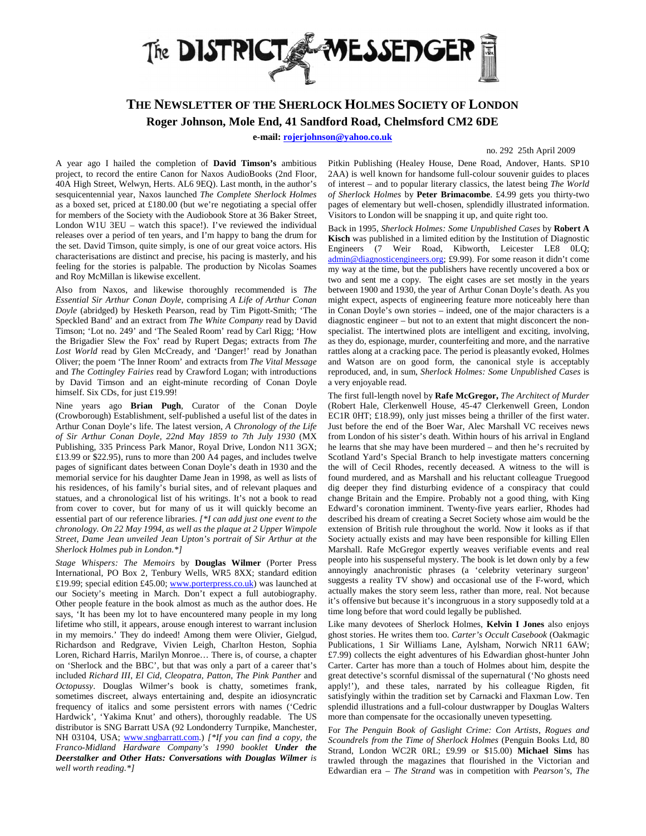

## **THE NEWSLETTER OF THE SHERLOCK HOLMES SOCIETY OF LONDON Roger Johnson, Mole End, 41 Sandford Road, Chelmsford CM2 6DE**

**e-mail: rojerjohnson@yahoo.co.uk**

## no. 292 25th April 2009

A year ago I hailed the completion of **David Timson's** ambitious project, to record the entire Canon for Naxos AudioBooks (2nd Floor, 40A High Street, Welwyn, Herts. AL6 9EQ). Last month, in the author's sesquicentennial year, Naxos launched *The Complete Sherlock Holmes* as a boxed set, priced at £180.00 (but we're negotiating a special offer for members of the Society with the Audiobook Store at 36 Baker Street, London W1U 3EU – watch this space!). I've reviewed the individual releases over a period of ten years, and I'm happy to bang the drum for the set. David Timson, quite simply, is one of our great voice actors. His characterisations are distinct and precise, his pacing is masterly, and his feeling for the stories is palpable. The production by Nicolas Soames and Roy McMillan is likewise excellent.

Also from Naxos, and likewise thoroughly recommended is *The Essential Sir Arthur Conan Doyle*, comprising *A Life of Arthur Conan Doyle* (abridged) by Hesketh Pearson, read by Tim Pigott-Smith; 'The Speckled Band' and an extract from *The White Company* read by David Timson; 'Lot no. 249' and 'The Sealed Room' read by Carl Rigg; 'How the Brigadier Slew the Fox' read by Rupert Degas; extracts from *The Lost World* read by Glen McCready, and 'Danger!' read by Jonathan Oliver; the poem 'The Inner Room' and extracts from *The Vital Message* and *The Cottingley Fairies* read by Crawford Logan; with introductions by David Timson and an eight-minute recording of Conan Doyle himself. Six CDs, for just £19.99!

Nine years ago **Brian Pugh**, Curator of the Conan Doyle (Crowborough) Establishment, self-published a useful list of the dates in Arthur Conan Doyle's life. The latest version, *A Chronology of the Life of Sir Arthur Conan Doyle, 22nd May 1859 to 7th July 1930* (MX Publishing, 335 Princess Park Manor, Royal Drive, London N11 3GX; £13.99 or \$22.95), runs to more than 200 A4 pages, and includes twelve pages of significant dates between Conan Doyle's death in 1930 and the memorial service for his daughter Dame Jean in 1998, as well as lists of his residences, of his family's burial sites, and of relevant plaques and statues, and a chronological list of his writings. It's not a book to read from cover to cover, but for many of us it will quickly become an essential part of our reference libraries. *[\*I can add just one event to the chronology. On 22 May 1994, as well as the plaque at 2 Upper Wimpole Street, Dame Jean unveiled Jean Upton's portrait of Sir Arthur at the Sherlock Holmes pub in London.\*]*

*Stage Whispers: The Memoirs* by **Douglas Wilmer** (Porter Press International, PO Box 2, Tenbury Wells, WR5 8XX; standard edition £19.99; special edition £45.00; www.porterpress.co.uk) was launched at our Society's meeting in March. Don't expect a full autobiography. Other people feature in the book almost as much as the author does. He says, 'It has been my lot to have encountered many people in my long lifetime who still, it appears, arouse enough interest to warrant inclusion in my memoirs.' They do indeed! Among them were Olivier, Gielgud, Richardson and Redgrave, Vivien Leigh, Charlton Heston, Sophia Loren, Richard Harris, Marilyn Monroe… There is, of course, a chapter on 'Sherlock and the BBC', but that was only a part of a career that's included *Richard III*, *El Cid*, *Cleopatra*, *Patton*, *The Pink Panther* and *Octopussy*. Douglas Wilmer's book is chatty, sometimes frank, sometimes discreet, always entertaining and, despite an idiosyncratic frequency of italics and some persistent errors with names ('Cedric Hardwick', 'Yakima Knut' and others), thoroughly readable. The US distributor is SNG Barratt USA (92 Londonderry Turnpike, Manchester, NH 03104, USA; www.sngbarratt.com.) *[\*If you can find a copy, the Franco-Midland Hardware Company's 1990 booklet Under the Deerstalker and Other Hats: Conversations with Douglas Wilmer is well worth reading.\*]*

Pitkin Publishing (Healey House, Dene Road, Andover, Hants. SP10 2AA) is well known for handsome full-colour souvenir guides to places of interest – and to popular literary classics, the latest being *The World of Sherlock Holmes* by **Peter Brimacombe**. £4.99 gets you thirty-two pages of elementary but well-chosen, splendidly illustrated information. Visitors to London will be snapping it up, and quite right too.

Back in 1995, *Sherlock Holmes: Some Unpublished Cases* by **Robert A Kisch** was published in a limited edition by the Institution of Diagnostic Engineers (7 Weir Road, Kibworth, Leicester LE8 0LQ; admin@diagnosticengineers.org; £9.99). For some reason it didn't come my way at the time, but the publishers have recently uncovered a box or two and sent me a copy. The eight cases are set mostly in the years between 1900 and 1930, the year of Arthur Conan Doyle's death. As you might expect, aspects of engineering feature more noticeably here than in Conan Doyle's own stories – indeed, one of the major characters is a diagnostic engineer – but not to an extent that might disconcert the nonspecialist. The intertwined plots are intelligent and exciting, involving, as they do, espionage, murder, counterfeiting and more, and the narrative rattles along at a cracking pace. The period is pleasantly evoked, Holmes and Watson are on good form, the canonical style is acceptably reproduced, and, in sum, *Sherlock Holmes: Some Unpublished Cases* is a very enjoyable read.

The first full-length novel by **Rafe McGregor,** *The Architect of Murder* (Robert Hale, Clerkenwell House, 45-47 Clerkenwell Green, London EC1R 0HT; £18.99), only just misses being a thriller of the first water. Just before the end of the Boer War, Alec Marshall VC receives news from London of his sister's death. Within hours of his arrival in England he learns that she may have been murdered – and then he's recruited by Scotland Yard's Special Branch to help investigate matters concerning the will of Cecil Rhodes, recently deceased. A witness to the will is found murdered, and as Marshall and his reluctant colleague Truegood dig deeper they find disturbing evidence of a conspiracy that could change Britain and the Empire. Probably not a good thing, with King Edward's coronation imminent. Twenty-five years earlier, Rhodes had described his dream of creating a Secret Society whose aim would be the extension of British rule throughout the world. Now it looks as if that Society actually exists and may have been responsible for killing Ellen Marshall. Rafe McGregor expertly weaves verifiable events and real people into his suspenseful mystery. The book is let down only by a few annoyingly anachronistic phrases (a 'celebrity veterinary surgeon' suggests a reality TV show) and occasional use of the F-word, which actually makes the story seem less, rather than more, real. Not because it's offensive but because it's incongruous in a story supposedly told at a time long before that word could legally be published.

Like many devotees of Sherlock Holmes, **Kelvin I Jones** also enjoys ghost stories. He writes them too. *Carter's Occult Casebook* (Oakmagic Publications, 1 Sir Williams Lane, Aylsham, Norwich NR11 6AW; £7.99) collects the eight adventures of his Edwardian ghost-hunter John Carter. Carter has more than a touch of Holmes about him, despite the great detective's scornful dismissal of the supernatural ('No ghosts need apply!'), and these tales, narrated by his colleague Rigden, fit satisfyingly within the tradition set by Carnacki and Flaxman Low. Ten splendid illustrations and a full-colour dustwrapper by Douglas Walters more than compensate for the occasionally uneven typesetting.

For *The Penguin Book of Gaslight Crime: Con Artists, Rogues and Scoundrels from the Time of Sherlock Holmes* (Penguin Books Ltd, 80 Strand, London WC2R 0RL; £9.99 or \$15.00) **Michael Sims** has trawled through the magazines that flourished in the Victorian and Edwardian era – *The Strand* was in competition with *Pearson's*, *The*